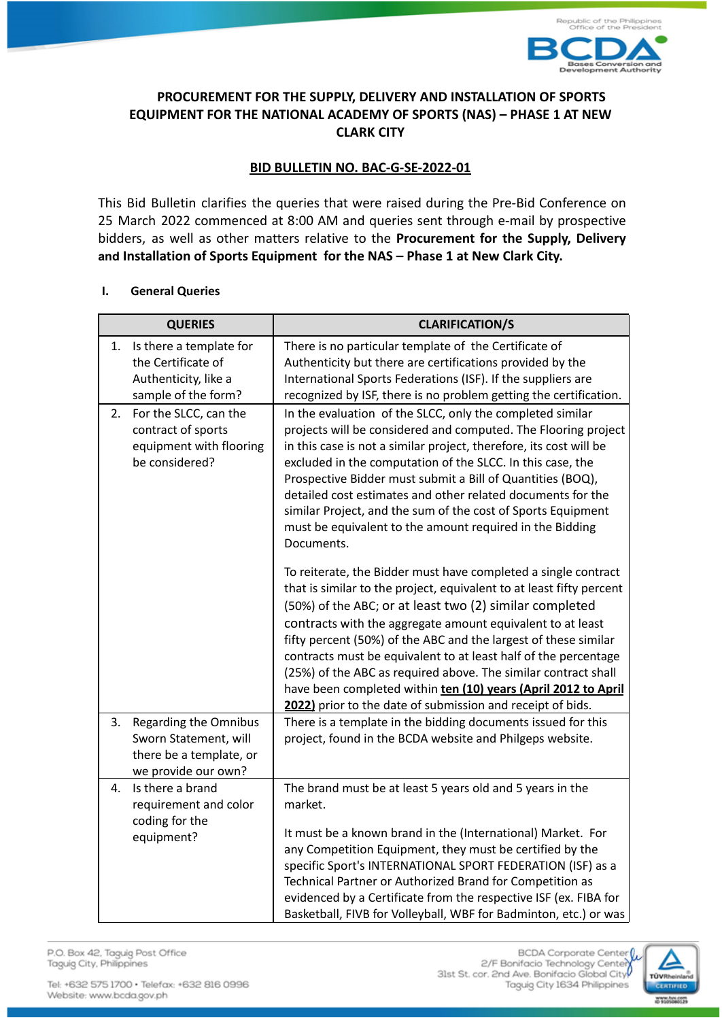

## **PROCUREMENT FOR THE SUPPLY, DELIVERY AND INSTALLATION OF SPORTS EQUIPMENT FOR THE NATIONAL ACADEMY OF SPORTS (NAS) – PHASE 1 AT NEW CLARK CITY**

# **BID BULLETIN NO. BAC-G-SE-2022-01**

This Bid Bulletin clarifies the queries that were raised during the Pre-Bid Conference on 25 March 2022 commenced at 8:00 AM and queries sent through e-mail by prospective bidders, as well as other matters relative to the **Procurement for the Supply, Delivery and Installation of Sports Equipment for the NAS – Phase 1 at New Clark City.**

### **I. General Queries**

| <b>QUERIES</b>                                                                                                | <b>CLARIFICATION/S</b>                                                                                                                                                                                                                                                                                                                                                                                                                                                                                                                                                                                  |
|---------------------------------------------------------------------------------------------------------------|---------------------------------------------------------------------------------------------------------------------------------------------------------------------------------------------------------------------------------------------------------------------------------------------------------------------------------------------------------------------------------------------------------------------------------------------------------------------------------------------------------------------------------------------------------------------------------------------------------|
| Is there a template for<br>1.<br>the Certificate of<br>Authenticity, like a<br>sample of the form?            | There is no particular template of the Certificate of<br>Authenticity but there are certifications provided by the<br>International Sports Federations (ISF). If the suppliers are<br>recognized by ISF, there is no problem getting the certification.                                                                                                                                                                                                                                                                                                                                                 |
| For the SLCC, can the<br>2.<br>contract of sports<br>equipment with flooring<br>be considered?                | In the evaluation of the SLCC, only the completed similar<br>projects will be considered and computed. The Flooring project<br>in this case is not a similar project, therefore, its cost will be<br>excluded in the computation of the SLCC. In this case, the<br>Prospective Bidder must submit a Bill of Quantities (BOQ),<br>detailed cost estimates and other related documents for the<br>similar Project, and the sum of the cost of Sports Equipment<br>must be equivalent to the amount required in the Bidding<br>Documents.                                                                  |
|                                                                                                               | To reiterate, the Bidder must have completed a single contract<br>that is similar to the project, equivalent to at least fifty percent<br>(50%) of the ABC; or at least two (2) similar completed<br>contracts with the aggregate amount equivalent to at least<br>fifty percent (50%) of the ABC and the largest of these similar<br>contracts must be equivalent to at least half of the percentage<br>(25%) of the ABC as required above. The similar contract shall<br>have been completed within ten (10) years (April 2012 to April<br>2022) prior to the date of submission and receipt of bids. |
| <b>Regarding the Omnibus</b><br>3.<br>Sworn Statement, will<br>there be a template, or<br>we provide our own? | There is a template in the bidding documents issued for this<br>project, found in the BCDA website and Philgeps website.                                                                                                                                                                                                                                                                                                                                                                                                                                                                                |
| Is there a brand<br>4.<br>requirement and color<br>coding for the<br>equipment?                               | The brand must be at least 5 years old and 5 years in the<br>market.<br>It must be a known brand in the (International) Market. For<br>any Competition Equipment, they must be certified by the<br>specific Sport's INTERNATIONAL SPORT FEDERATION (ISF) as a<br>Technical Partner or Authorized Brand for Competition as<br>evidenced by a Certificate from the respective ISF (ex. FIBA for<br>Basketball, FIVB for Volleyball, WBF for Badminton, etc.) or was                                                                                                                                       |

P.O. Box 42, Taguig Post Office Taguig City, Philippines

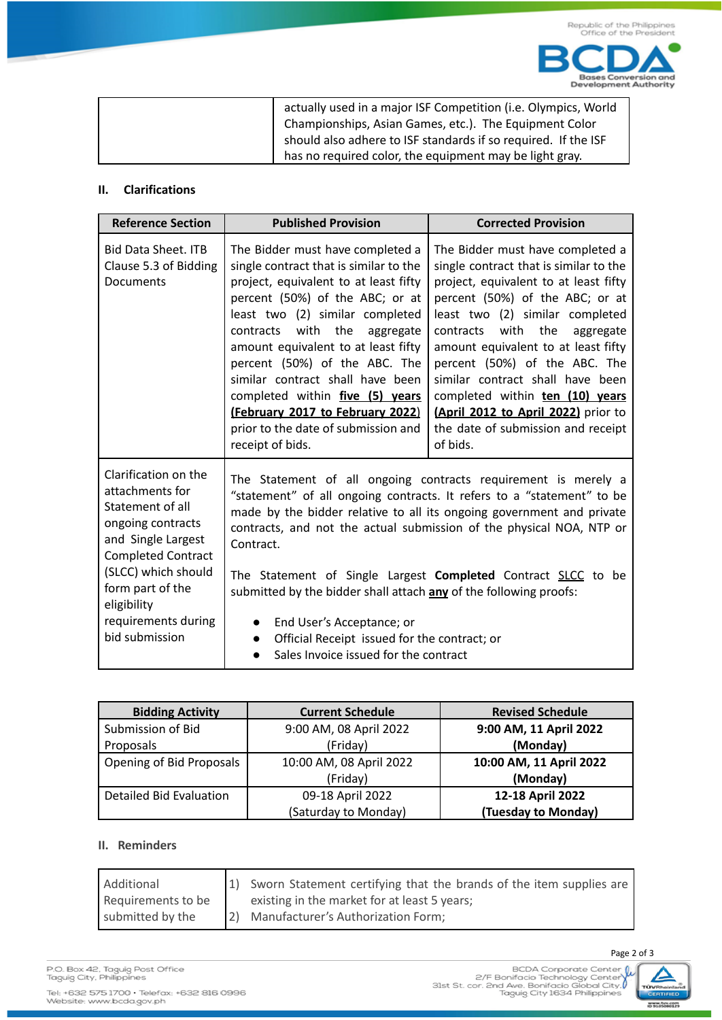| actually used in a major ISF Competition (i.e. Olympics, World |
|----------------------------------------------------------------|
| Championships, Asian Games, etc.). The Equipment Color         |
| should also adhere to ISF standards if so required. If the ISF |
| has no required color, the equipment may be light gray.        |

### **II. Clarifications**

| <b>Reference Section</b>                                                                                                                                                                                                               | <b>Published Provision</b>                                                                                                                                                                                                                                                                                                                                                                                                                                                    | <b>Corrected Provision</b>                                                                                                                                                                                                                                                                                                                                                                                                                                                 |
|----------------------------------------------------------------------------------------------------------------------------------------------------------------------------------------------------------------------------------------|-------------------------------------------------------------------------------------------------------------------------------------------------------------------------------------------------------------------------------------------------------------------------------------------------------------------------------------------------------------------------------------------------------------------------------------------------------------------------------|----------------------------------------------------------------------------------------------------------------------------------------------------------------------------------------------------------------------------------------------------------------------------------------------------------------------------------------------------------------------------------------------------------------------------------------------------------------------------|
| Bid Data Sheet. ITB<br>Clause 5.3 of Bidding<br>Documents                                                                                                                                                                              | The Bidder must have completed a<br>single contract that is similar to the<br>project, equivalent to at least fifty<br>percent (50%) of the ABC; or at<br>least two (2) similar completed<br>with the<br>contracts<br>aggregate<br>amount equivalent to at least fifty<br>percent (50%) of the ABC. The<br>similar contract shall have been<br>completed within five (5) years<br>(February 2017 to February 2022)<br>prior to the date of submission and<br>receipt of bids. | The Bidder must have completed a<br>single contract that is similar to the<br>project, equivalent to at least fifty<br>percent (50%) of the ABC; or at<br>least two (2) similar completed<br>the<br>with<br>contracts<br>aggregate<br>amount equivalent to at least fifty<br>percent (50%) of the ABC. The<br>similar contract shall have been<br>completed within ten (10) years<br>(April 2012 to April 2022) prior to<br>the date of submission and receipt<br>of bids. |
| Clarification on the<br>attachments for<br>Statement of all<br>ongoing contracts<br>and Single Largest<br><b>Completed Contract</b><br>(SLCC) which should<br>form part of the<br>eligibility<br>requirements during<br>bid submission | Contract.<br>submitted by the bidder shall attach any of the following proofs:<br>End User's Acceptance; or<br>$\bullet$<br>Official Receipt issued for the contract; or<br>$\bullet$<br>Sales Invoice issued for the contract                                                                                                                                                                                                                                                | The Statement of all ongoing contracts requirement is merely a<br>"statement" of all ongoing contracts. It refers to a "statement" to be<br>made by the bidder relative to all its ongoing government and private<br>contracts, and not the actual submission of the physical NOA, NTP or<br>The Statement of Single Largest Completed Contract SLCC to be                                                                                                                 |

| <b>Bidding Activity</b>  | <b>Current Schedule</b> | <b>Revised Schedule</b> |
|--------------------------|-------------------------|-------------------------|
| Submission of Bid        | 9:00 AM, 08 April 2022  | 9:00 AM, 11 April 2022  |
| Proposals                | (Friday)                | (Monday)                |
| Opening of Bid Proposals | 10:00 AM, 08 April 2022 | 10:00 AM, 11 April 2022 |
|                          | (Friday)                | (Monday)                |
| Detailed Bid Evaluation  | 09-18 April 2022        | 12-18 April 2022        |
|                          | (Saturday to Monday)    | (Tuesday to Monday)     |

### **II. Reminders**

| Additional         | 1) Sworn Statement certifying that the brands of the item supplies are |
|--------------------|------------------------------------------------------------------------|
| Requirements to be | existing in the market for at least 5 years;                           |
| submitted by the   | [2] Manufacturer's Authorization Form;                                 |